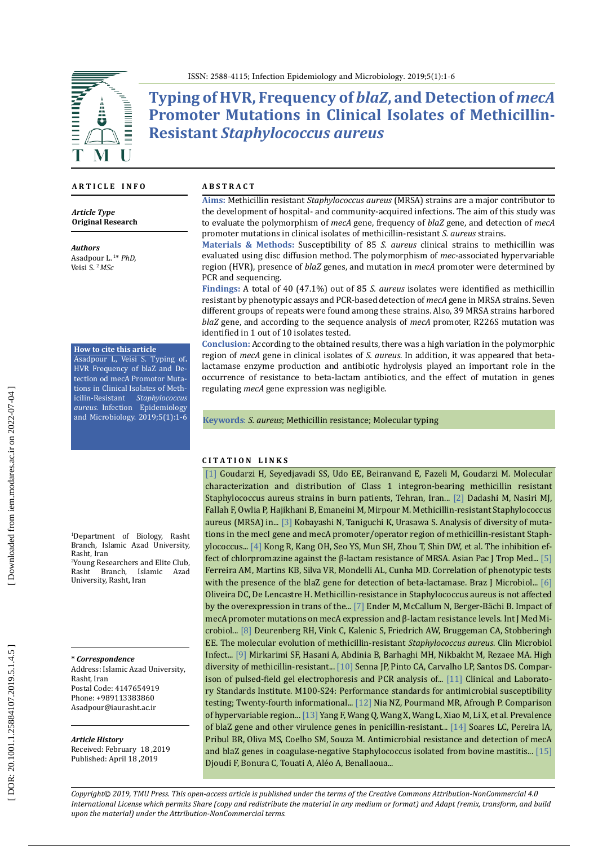

**Typing of HVR, Frequency of** *blaZ***, and Detection of** *mecA* **Promoter Mutations in Clinical Isolates of Methicillin-Resistant** *Staphylococcus aureus*

### **A R T I C L E I N F O**

*Article Type* **Original Research**

*Authors* Asadpour L. 1 \* *PhD,*  Veisi S. <sup>2</sup>*MSc*

#### **How to cite this article**

Asadpour L, Veisi S. Typing of**.** HVR Frequency of blaZ and De tection od mecA Promotor Muta tions in Clinical Isolates of Meth icilin-Resistant *Staphylococcus aureus.* Infection Epidemiology and Microbiology. 2019;5(1):1-6

1 Department of Biology, Rasht Branch, Islamic Azad University,<br>Rasht Iran Rasht, Iran<br><sup>2</sup>Young Researchers and Elite Club,

Rasht Branch, Islamic Azad University, Rasht, Iran

**\*** *Correspondence*

Address: Islamic Azad University, Rasht, Iran Postal Code: 4147654919 Phone: +989113383860 Asadpour [@iaurasht](mailto:Asadpour@iaurasht.ac.ir) .ac .ir

*Article History* Received: February 18 ,2019 Published: April 18 ,2019

#### **A B S T R A C T**

**Aims :** Methicillin resistant *Staphylococcus aureus* (MRSA) strains are a major contributor to the development of hospital- and community -acquired infections. The aim of this study was to evaluate the polymorphism of *mecA* gene, frequency of *blaZ* gene, and detection of *mecA* promoter mutations in clinical isolates of methicillin -resistant *S. aureus* strains .

**Materials & Methods :** Susceptibility of 85 *S. aureus* clinical strains to methicillin was evaluated using disc diffusion method. The polymorphism of *mec* -associated hypervariable region (HVR), presence of *blaZ* genes, and mutation in *mecA* promoter were determined by PCR and sequencing.

Findings: A total of 40 (47.1%) out of 85 S. aureus isolates were identified as methicillin resistant by phenotypic assays and PCR -based detection of *mecA* gene in MRSA strains. Seven different groups of repeats were found among these strains. Also, 39 MRSA strains harbored *blaZ* gene, and according to the sequence analysis of *mecA* promoter, R226S mutation was identified in 1 out of 10 isolates tested .

**Conclusion :** According to the obtained results, there was a high variation in the polymorphic region of *mecA* gene in clinical isolates of *S. aureus*. In addition, it was appeared that beta lactamase enzyme production and antibiotic hydrolysis played an important role in the occurrence of resistance to beta -lactam antibiotics, and the effect of mutation in genes regulating *mecA* gene expression was negligible .

**Keywords**: *S. aureus*; Methicillin resistance; Molecular typing

### **C I T A T I O N L I N K S**

[\[1\]](http://jjmicrobiol.com/en/articles/57027.html) Goudarzi H, Seyedjavadi SS, Udo EE, Beiranvand E, Fazeli M, Goudarzi M. Molecular characterization and distribution of Class 1 integron-bearing methicillin resistant Staphylococcus aureus strains in burn patients, Tehran, Iran... [\[2\]](https://www.ncbi.nlm.nih.gov/pubmed/28941791) Dadashi M, Nasiri MJ, Fallah F, Owlia P, Hajikhani B, Emaneini M, Mirpour M. Methicillin-resistant Staphylococcus aureus (MRSA) in... [\[3\]](https://www.ncbi.nlm.nih.gov/pmc/articles/PMC105528/) Kobayashi N, Taniguchi K, Urasawa S. Analysis of diversity of muta tions in the mecI gene and mecA promoter/operator region of methicillin-resistant Staph ylococcus... [\[4\]](https://www.ncbi.nlm.nih.gov/m/pubmed/27262064/) Kong R, Kang OH, Seo YS, Mun SH, Zhou T, Shin DW, et al. The inhibition effect of chlorpromazine against the β-lactam resistance of MRSA. Asian Pac J Trop Med... [\[5\]](https://www.ncbi.nlm.nih.gov/pubmed/27889420)  Ferreira AM, Martins KB, Silva VR, Mondelli AL, Cunha MD. Correlation of phenotypic tests with the presence of the blaZ gene for detection of beta-lactamase. Braz J Microbiol... [6] Oliveira DC, De Lencastre H. Methicillin-resistance in Staphylococcus aureus is not affected by the overexpression in trans of the... [\[7\]](https://www.ncbi.nlm.nih.gov/pubmed/18456552) Ender M, McCallum N, Berger-Bächi B. Impact of mecA promoter mutations on mecA expression and β-lactam resistance levels. Int J Med Mi crobiol... [\[8\]](https://www.ncbi.nlm.nih.gov/pubmed/17391376) Deurenberg RH, Vink C, Kalenic S, Friedrich AW, Bruggeman CA, Stobberingh EE. The molecular evolution of methicillin -resistant *Staphylococcus aureus*. Clin Microbiol Infect... [\[9\]](http://pedinfect.com/en/articles/20309.html) Mirkarimi SF, Hasani A, Abdinia B, Barhaghi MH, Nikbakht M, Rezaee MA. High diversity of methicillin-resistant... [\[10\]](https://www.ncbi.nlm.nih.gov/pmc/articles/PMC130718/) Senna JP, Pinto CA, Carvalho LP, Santos DS. Compar ison of pulsed-field gel electrophoresis and PCR analysis of... [\[11\]](https://clsi.org/media/1469/m100s27_sample.pdf) Clinical and Laborato ry Standards Institute. M100-S24: Performance standards for antimicrobial susceptibility testing; Twenty-fourth informational... [\[12\]](http://jjmicrobiol.com/en/articles/18612.html) Nia NZ, Pourmand MR, Afrough P. Comparison of hypervariable region... [\[13\]](http://journals.tubitak.gov.tr/veterinary/issues/vet-15-39-5/vet-39-5-20-1504-81.pdf) Yang F, Wang Q, Wang X, Wang L, Xiao M, Li X, et al. Prevalence of blaZ gene and other virulence genes in penicillin-resistant... [\[14\]](http://www.scielo.br/scielo.php?script=sci_arttext&pid=S0100-736X2012000800002) Soares LC, Pereira IA, Pribul BR, Oliva MS, Coelho SM, Souza M. Antimicrobial resistance and detection of mecA and blaZ genes in coagulase-negative Staphylococcus isolated from bovine mastitis... [\[15\]](https://www.ncbi.nlm.nih.gov/pubmed/27902367)  Djoudi F, Bonura C, Touati A, Aléo A, Benallaoua...

*Copyright© 2019, TMU Press. This open-access article is published under the terms of the Creative Commons Attribution-NonCommercial 4.0 International License which permits Share (copy and redistribute the material in any medium or format) and Adapt (remix, transform, and build upon the material) under the Attribution-NonCommercial terms.*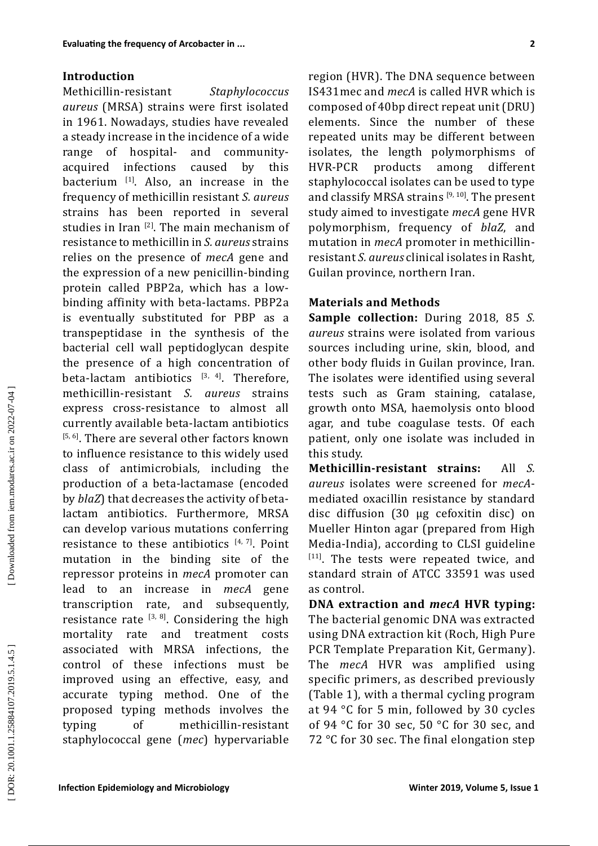### **Introduction**

**Experimentally and the state of Acceleristic Constraine (Figure 2018)<br>
<b>Infermiology and Microbiology and Microbiology and Microbiology and Microbiology Constraine (DRS)<br>
<b>Infermiology and Microbiology Acceleristics** Cons Methicillin-resistant  $Staphylococcus$ *aureus* (MRSA) strains were first isolated in 1961. Nowadays, studies have revealed a steady increase in the incidence of a wide range of hospitaland communityacquired infections caused by this bacterium <sup>[1]</sup>. Also, an increase in the frequency of methicillin resistant *S. aureus* strains has been reported in several studies in Iran  $^{[2]}$ . The main mechanism of resistance to methicillin in *S. aureus* strains relies on the presence of *mecA* gene and the expression of a new penicillin -binding protein called PBP2a, which has a low binding affinity with beta -lactams. PBP2a is eventually substituted for PBP as a transpeptidase in the synthesis of the bacterial cell wall peptidoglycan despite the presence of a high concentration of beta-lactam antibiotics  $[3, 4]$ . Therefore, methicillin -resistant *S. aureus* strains express cross -resistance to almost all currently available beta -lactam antibiotics <sup>[5, 6]</sup>. There are several other factors known to influence resistance to this widely used class of antimicrobials, including the production of a beta -lactamase (encoded by *blaZ*) that decreases the activity of beta lactam antibiotics. Furthermore, MRSA can develop various mutations conferring resistance to these antibiotics  $[4, 7]$ . Point mutation in the binding site of the repressor proteins in *mecA* promoter can lead to an increase in *mecA* gene transcription rate, and subsequently, resistance rate  $^{[3, 8]}$ . Considering the high mortality rate and treatment cost s associated with MRSA infections, the control of these infections must be improved using an effective, easy, and accurate typing method. One of the proposed typing methods involves the typing of methicillin -resistant staphylococcal gene (*mec*) hypervariable

region (HVR). The DNA sequence between IS431mec and *mecA* is called HVR which is composed of 40bp direct repeat unit (DRU) elements. Since the number of these repeated units may be different between isolates, the length polymorphisms of<br>HVR-PCR products among different HVR among different staphylococcal isolates can be used to type and classify MRSA strains  $[9,10]$ . The present study aimed to investigate *mecA* gene HVR polymorphism, frequency of *blaZ*, and mutation in *mecA* promoter in methicillin resistant *S. aureus* clinical isolates in Rasht*,*  Guilan province, northern Iran .

# **Materials and Methods**

**Sample collection:** During 2018, 85 *S. aureus* strains were isolated from various sources including urine, skin, blood, and other body fluids in Guilan province, Iran. The isolates were identified using several tests such as Gram staining, catalase, growth onto MSA, haemolysis onto blood agar, and tube coagulase tests. Of each patient, only one isolate was included in this study.

**Methicillin -resistant strains:** All *S. aureus* isolates were screened for *mecA* mediated oxacillin resistance by standard disc diffusion (30 μg cefoxitin disc) on Mueller Hinton agar (prepared from High Media -India), according to CLSI guideline  $[111]$ . The tests were repeated twice, and standard strain of ATCC 33591 was used as control .

**DNA extraction and** *mecA* **HVR typing:**  The bacterial genomic DNA was extracted using DNA extraction kit (Roch, High Pure PCR Template Preparation Kit, Germany). The *mecA* HVR was amplified using specific primers , as described previously (Table 1), with a thermal cycling program at 94 ° C for 5 min, followed by 30 cycles of 94 ° C for 30 sec, 50 ° C for 30 sec, and 72 ° C for 30 sec. The final elongation step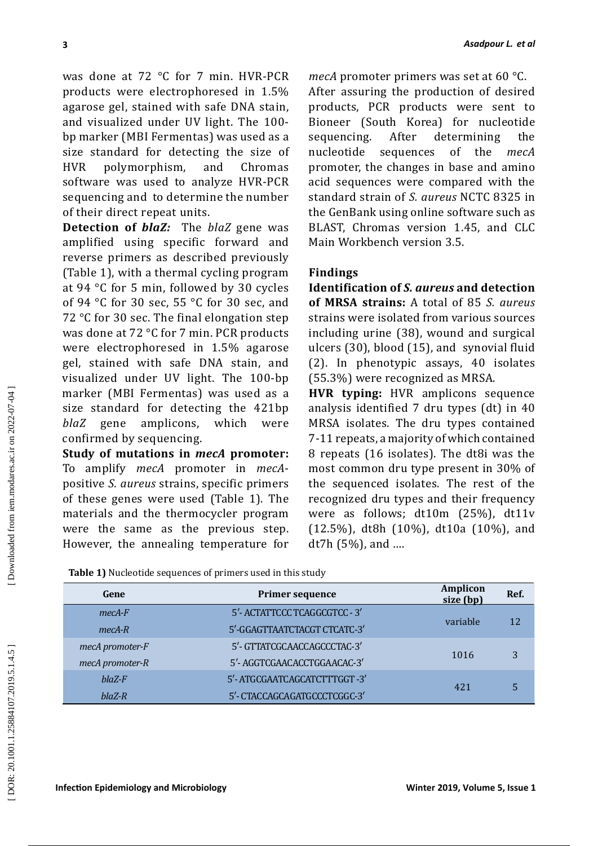## **Findings**

|                                                                                                                                                                                                                                                                                                                                                                                                                                                                                                                                                                                                                                                                                                                                                                                                               |                                                           |                                                                                                                                                                                                                                                                                                                                                                                                                                                                                                                                                                                                                                                                                                                                                                                                |                 | Asadpour L. et al |
|---------------------------------------------------------------------------------------------------------------------------------------------------------------------------------------------------------------------------------------------------------------------------------------------------------------------------------------------------------------------------------------------------------------------------------------------------------------------------------------------------------------------------------------------------------------------------------------------------------------------------------------------------------------------------------------------------------------------------------------------------------------------------------------------------------------|-----------------------------------------------------------|------------------------------------------------------------------------------------------------------------------------------------------------------------------------------------------------------------------------------------------------------------------------------------------------------------------------------------------------------------------------------------------------------------------------------------------------------------------------------------------------------------------------------------------------------------------------------------------------------------------------------------------------------------------------------------------------------------------------------------------------------------------------------------------------|-----------------|-------------------|
| was done at 72 °C for 7 min. HVR-PCR<br>products were electrophoresed in 1.5%<br>agarose gel, stained with safe DNA stain,<br>and visualized under UV light. The 100-<br>bp marker (MBI Fermentas) was used as a<br>size standard for detecting the size of<br>polymorphism, and<br>Chromas<br><b>HVR</b><br>software was used to analyze HVR-PCR<br>sequencing and to determine the number<br>of their direct repeat units.<br><b>Detection of blaZ:</b> The blaZ gene was<br>amplified using specific forward and                                                                                                                                                                                                                                                                                           |                                                           | mecA promoter primers was set at 60 °C.<br>After assuring the production of desired<br>products, PCR products were sent to<br>Bioneer (South Korea) for nucleotide<br>After determining<br>sequencing.<br>the<br>nucleotide<br>of<br>the<br>sequences<br>mecA<br>promoter, the changes in base and amino<br>acid sequences were compared with the<br>standard strain of S. aureus NCTC 8325 in<br>the GenBank using online software such as<br>BLAST, Chromas version 1.45, and CLC<br>Main Workbench version 3.5.                                                                                                                                                                                                                                                                             |                 |                   |
| reverse primers as described previously<br>(Table 1), with a thermal cycling program<br>at 94 °C for 5 min, followed by 30 cycles<br>of 94 °C for 30 sec, 55 °C for 30 sec, and<br>72 °C for 30 sec. The final elongation step<br>was done at 72 °C for 7 min. PCR products<br>were electrophoresed in 1.5% agarose<br>gel, stained with safe DNA stain, and<br>visualized under UV light. The 100-bp<br>marker (MBI Fermentas) was used as a<br>size standard for detecting the 421bp<br>amplicons,<br><i>blaZ</i> gene<br>confirmed by sequencing.<br>Study of mutations in mecA promoter:<br>To amplify mecA promoter in mecA-<br>positive S. aureus strains, specific primers<br>of these genes were used (Table 1). The<br>materials and the thermocycler program<br>were the same as the previous step. | which<br>were                                             | <b>Findings</b><br>Identification of S. aureus and detection<br>of MRSA strains: A total of 85 S. aureus<br>strains were isolated from various sources<br>including urine (38), wound and surgical<br>ulcers (30), blood (15), and synovial fluid<br>(2). In phenotypic assays, 40 isolates<br>(55.3%) were recognized as MRSA.<br>HVR typing: HVR amplicons sequence<br>analysis identified 7 dru types (dt) in 40<br>MRSA isolates. The dru types contained<br>7-11 repeats, a majority of which contained<br>8 repeats (16 isolates). The dt8i was the<br>most common dru type present in 30% of<br>the sequenced isolates. The rest of the<br>recognized dru types and their frequency<br>were as follows; dt10m (25%), dt11v<br>(12.5%), dt8h (10%), dt10a (10%), and<br>$dt7h(5%)$ , and |                 |                   |
|                                                                                                                                                                                                                                                                                                                                                                                                                                                                                                                                                                                                                                                                                                                                                                                                               |                                                           |                                                                                                                                                                                                                                                                                                                                                                                                                                                                                                                                                                                                                                                                                                                                                                                                |                 |                   |
| However, the annealing temperature for                                                                                                                                                                                                                                                                                                                                                                                                                                                                                                                                                                                                                                                                                                                                                                        |                                                           |                                                                                                                                                                                                                                                                                                                                                                                                                                                                                                                                                                                                                                                                                                                                                                                                |                 |                   |
| Table 1) Nucleotide sequences of primers used in this study<br>Gene                                                                                                                                                                                                                                                                                                                                                                                                                                                                                                                                                                                                                                                                                                                                           | <b>Primer sequence</b>                                    |                                                                                                                                                                                                                                                                                                                                                                                                                                                                                                                                                                                                                                                                                                                                                                                                | <b>Amplicon</b> | Ref.              |
| $mecA-F$                                                                                                                                                                                                                                                                                                                                                                                                                                                                                                                                                                                                                                                                                                                                                                                                      | 5'- ACTATTCCC TCAGGCGTCC - 3'                             |                                                                                                                                                                                                                                                                                                                                                                                                                                                                                                                                                                                                                                                                                                                                                                                                | size (bp)       |                   |
| $mecA-R$                                                                                                                                                                                                                                                                                                                                                                                                                                                                                                                                                                                                                                                                                                                                                                                                      | 5'-GGAGTTAATCTACGT CTCATC-3'                              |                                                                                                                                                                                                                                                                                                                                                                                                                                                                                                                                                                                                                                                                                                                                                                                                | variable        | 12                |
| mecA promoter-F                                                                                                                                                                                                                                                                                                                                                                                                                                                                                                                                                                                                                                                                                                                                                                                               | 5'- GTTATCGCAACCAGCCCTAC-3'                               |                                                                                                                                                                                                                                                                                                                                                                                                                                                                                                                                                                                                                                                                                                                                                                                                | 1016            | 3                 |
| mecA promoter-R<br>$blaZ-F$                                                                                                                                                                                                                                                                                                                                                                                                                                                                                                                                                                                                                                                                                                                                                                                   | 5'-AGGTCGAACACCTGGAACAC-3'<br>5'-ATGCGAATCAGCATCTTTGGT-3' |                                                                                                                                                                                                                                                                                                                                                                                                                                                                                                                                                                                                                                                                                                                                                                                                |                 |                   |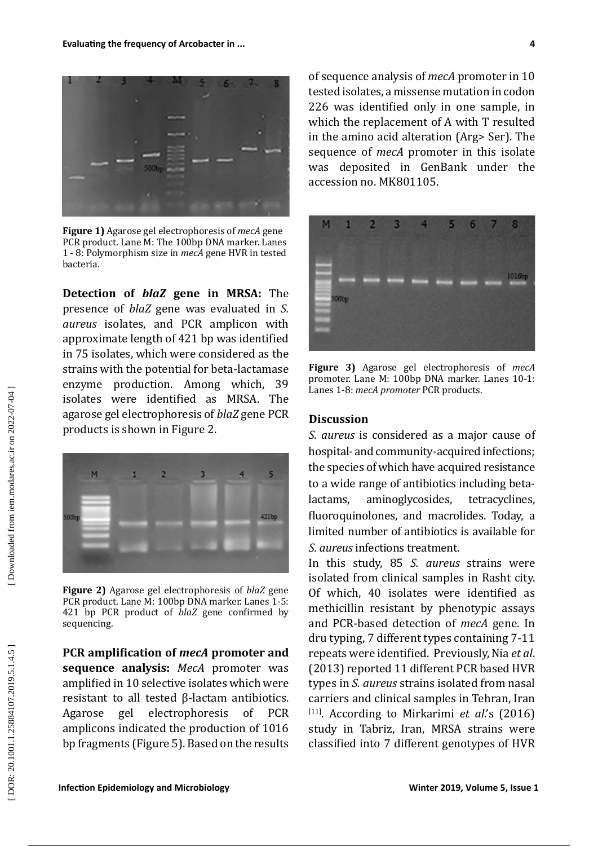

**Figure 1)** Agarose gel electrophoresis of *mecA* gene PCR product. Lane M: The 100bp DNA marker. Lanes 1 - 8: Polymorphism size in *mecA* gene HVR in tested bacteria.

**Detection of** *blaZ* **gene in MRSA:** The presence of *blaZ* gene was evaluated in *S. aureus* isolates, and PCR amplicon with approximate length of 421 bp was identified in 75 isolates, which were considered as the strains with the potential for beta-lactamase enzyme production. Among which, 39 isolates were identified as MRSA. The agarose gel electrophoresis of *blaZ* gene PCR products is shown in Figure 2.



**Figure 2)** Agarose gel electrophoresis of *blaZ* gene PCR product. Lane M: 100bp DNA marker. Lanes 1-5: 421 bp PCR product of *blaZ* gene confirmed by sequencing.

**PCR amplification of** *mecA* **promoter and sequence analysis:** *MecA* promoter was amplified in 10 selective isolates which were resistant to all tested β-lactam antibiotics. Agarose gel electrophoresis of PCR amplicons indicated the production of 1016 bp fragments (Figure 5). Based on the results of sequence analysis of *mecA* promoter in 10 tested isolates, a missense mutation in codon 226 was identified only in one sample, in which the replacement of A with T resulted in the amino acid alteration (Arg> Ser). The sequence of *mecA* promoter in this isolate was deposited in GenBank under the accession no. MK801105.



**Figure 3)** Agarose gel electrophoresis of *mecA* promoter. Lane M: 100bp DNA marker. Lanes 10-1: Lanes 1-8: *mecA promoter* PCR products.

### **Discussion**

*S. aureus* is considered as a major cause of hospital- and community-acquired infections; the species of which have acquired resistance to a wide range of antibiotics including betalactams, aminoglycosides, tetracyclines, fluoroquinolones, and macrolides. Today, a limited number of antibiotics is available for *S. aureus* infections treatment.

**In the trainer of Acceleristic minimal control to the same of the same of the same of the same of the same of the same of the same of the same of the same of the same of the same of the same of the same of the same of th** In this study, 85 *S. aureus* strains were isolated from clinical samples in Rasht city. Of which, 40 isolates were identified as methicillin resistant by phenotypic assays and PCR-based detection of *mecA* gene. In dru typing, 7 different types containing 7-11 repeats were identified. Previously, Nia *et al*. (2013) reported 11 different PCR based HVR types in *S. aureus* strains isolated from nasal carriers and clinical samples in Tehran, Iran [11]. According to Mirkarimi *et al*.'s (2016) study in Tabriz, Iran, MRSA strains were classified into 7 different genotypes of HVR

DOR: 20.1001.1.25884107.2019.5.1.4.5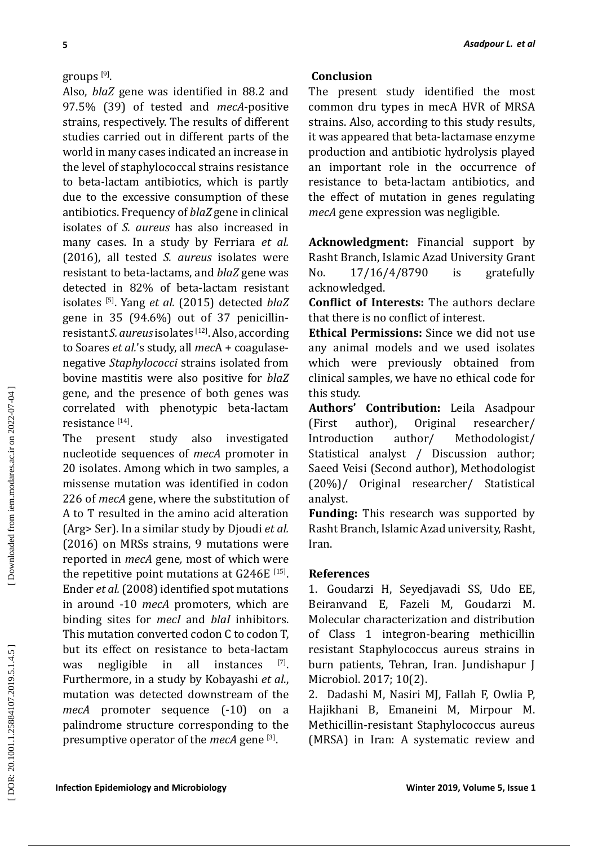# groups [9] .

**ISONAL EXAMPLE INTERFERENT CONDUSION ISONAL EXAMPLE CONDUSION ISONAL EXAMPLE CONDUSION ISON ISON ISON CONDUSION ISON ISON ISON ISON ISONAL EXAMPLE CONDUSION ISONAL EXAMPLE CONDUSION ISONAL EXAMPL** Also, *blaZ* gene was identified in 88.2 and 97.5% (39) of tested and *mecA*-positive strains, respectively. The results of different studies carried out in different parts of the world in many cases indicated an increase in the level of staphylococcal strains resistance to beta-lactam antibiotics, which is partly due to the excessive consumption of these antibiotics. Frequency of *blaZ* gene in clinical isolates of *S. aureus* has also increased in many cases. In a study by Ferriara *et al.* (2016), all tested *S. aureus* isolates were resistant to beta-lactams, and *blaZ* gene was detected in 82% of beta-lactam resistant isolates [5]. Yang *et al.* (2015) detected *blaZ*  gene in 35 (94.6%) out of 37 penicillinresistant *S. aureus* isolates [12]. Also, according to Soares *et al.*'s study, all *mec*A + coagulasenegative *Staphylococci* strains isolated from bovine mastitis were also positive for *blaZ* gene, and the presence of both genes was correlated with phenotypic beta-lactam resistance <sup>[14]</sup>.

The present study also investigated nucleotide sequences of *mecA* promoter in 20 isolates. Among which in two samples, a missense mutation was identified in codon 226 of *mecA* gene, where the substitution of A to T resulted in the amino acid alteration (Arg> Ser). In a similar study by Djoudi *et al.* (2016) on MRSs strains, 9 mutations were reported in *mecA* gene*,* most of which were the repetitive point mutations at G246E [15]. Ender *et al.* (2008) identified spot mutations in around -10 *mecA* promoters, which are binding sites for *mecI* and *blaI* inhibitors. This mutation converted codon C to codon T, but its effect on resistance to beta-lactam<br>was negligible in all instances  $[7]$ . was negligible in Furthermore, in a study by Kobayashi *et al*., mutation was detected downstream of the mecA promoter sequence (-10) on a palindrome structure corresponding to the presumptive operator of the *mecA* gene [3] .

# **Conclusion**

The present study identified the most common dru types in mecA HVR of MRSA strains. Also, according to this study results, it was appeared that beta-lactamase enzyme production and antibiotic hydrolysis played an important role in the occurrence of resistance to beta-lactam antibiotics, and the effect of mutation in genes regulating *mecA* gene expression was negligible.

**Acknowledgment:** Financial support by Rasht Branch, Islamic Azad University Grant<br>No. 17/16/4/8790 is gratefully No. 17/16/4/8790 is gratefully acknowledged.

**Conflict of Interests:** The authors declare that there is no conflict of interest.

**Ethical Permissions:** Since we did not use any animal models and we used isolates which were previously obtained from clinical samples, we have no ethical code for this study.

**Authors' Contribution:** Leila Asadpour<br>(First author), Original researcher/ (First author), Original researcher/<br>Introduction author/ Methodologist/ Methodologist/ Statistical analyst / Discussion author; Saeed Veisi (Second author), Methodologist (20%)/ Original researcher/ Statistical analyst.

**Funding:** This research was supported by Rasht Branch, Islamic Azad university, Rasht, Iran.

### **References**

1. Goudarzi H, Seyedjavadi SS, Udo EE, Beiranvand E, Fazeli M, Goudarzi M. Molecular characterization and distribution of Class 1 integron-bearing methicillin resistant Staphylococcus aureus strains in burn patients, Tehran, Iran. Jundishapur J Microbiol. 2017; 10(2).

2. Dadashi M, Nasiri MJ, Fallah F, Owlia P, Hajikhani B, Emaneini M, Mirpour M. Methicillin-resistant Staphylococcus aureus (MRSA) in Iran: A systematic review and